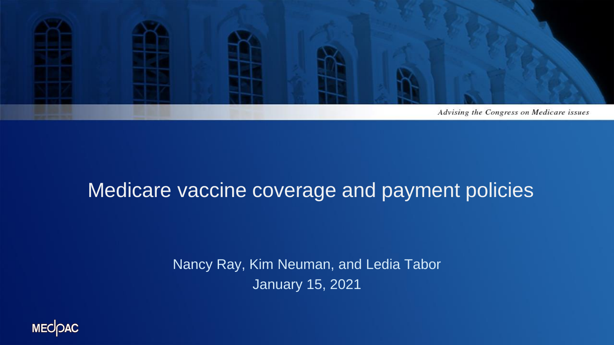

#### Medicare vaccine coverage and payment policies

Nancy Ray, Kim Neuman, and Ledia Tabor January 15, 2021

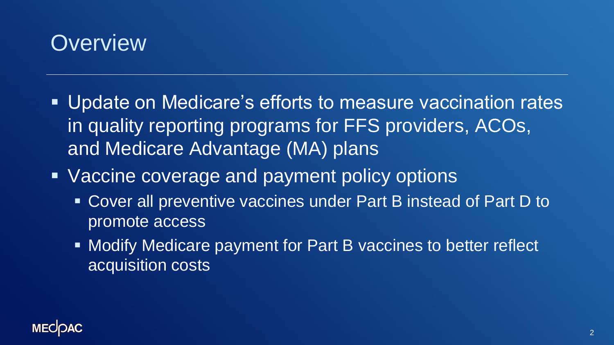

- Update on Medicare's efforts to measure vaccination rates in quality reporting programs for FFS providers, ACOs, and Medicare Advantage (MA) plans
- Vaccine coverage and payment policy options
	- Cover all preventive vaccines under Part B instead of Part D to promote access
	- Modify Medicare payment for Part B vaccines to better reflect acquisition costs

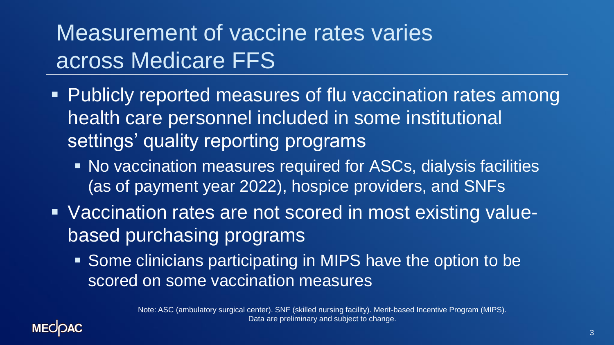# Measurement of vaccine rates varies across Medicare FFS

- **Publicly reported measures of flu vaccination rates among** health care personnel included in some institutional settings' quality reporting programs
	- No vaccination measures required for ASCs, dialysis facilities (as of payment year 2022), hospice providers, and SNFs
- Vaccination rates are not scored in most existing valuebased purchasing programs
	- Some clinicians participating in MIPS have the option to be scored on some vaccination measures

Note: ASC (ambulatory surgical center). SNF (skilled nursing facility). Merit-based Incentive Program (MIPS). Data are preliminary and subject to change.

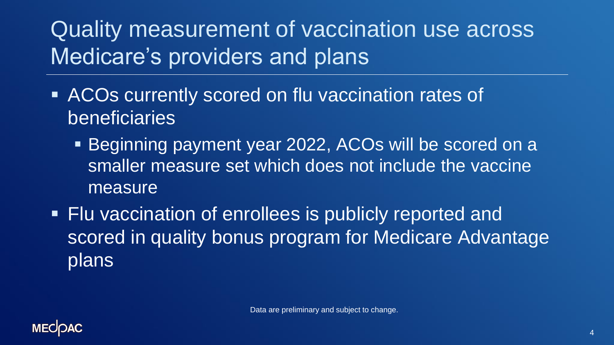Quality measurement of vaccination use across Medicare's providers and plans

- ACOs currently scored on flu vaccination rates of beneficiaries
	- Beginning payment year 2022, ACOs will be scored on a smaller measure set which does not include the vaccine measure
- Flu vaccination of enrollees is publicly reported and scored in quality bonus program for Medicare Advantage plans

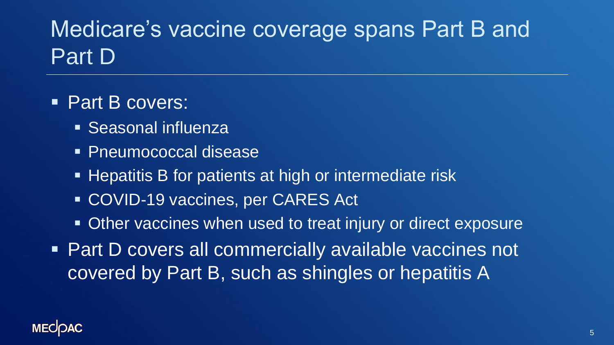# Medicare's vaccine coverage spans Part B and Part D

- Part B covers:
	- **Execute Seasonal influenza**
	- Pneumococcal disease
	- **EXA)** Hepatitis B for patients at high or intermediate risk
	- COVID-19 vaccines, per CARES Act
	- Other vaccines when used to treat injury or direct exposure
- Part D covers all commercially available vaccines not covered by Part B, such as shingles or hepatitis A

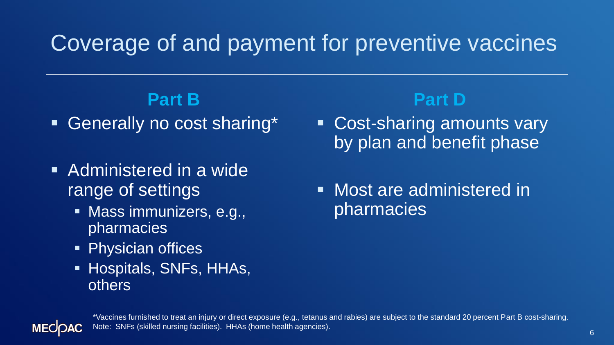### Coverage of and payment for preventive vaccines

#### **Part B**

- Generally no cost sharing\*
- Administered in a wide range of settings
	- Mass immunizers, e.g., pharmacies
	- **Physician offices**
	- **E** Hospitals, SNFs, HHAs, others

#### **Part D**

- Cost-sharing amounts vary by plan and benefit phase
- **EXEC** Most are administered in pharmacies



\*Vaccines furnished to treat an injury or direct exposure (e.g., tetanus and rabies) are subject to the standard 20 percent Part B cost-sharing. Note: SNFs (skilled nursing facilities). HHAs (home health agencies).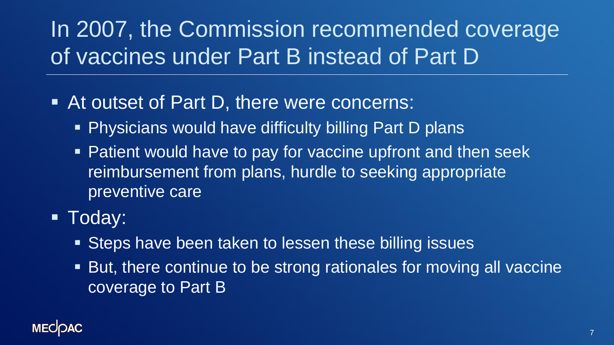# In 2007, the Commission recommended coverage of vaccines under Part B instead of Part D

- At outset of Part D, there were concerns:
	- **Physicians would have difficulty billing Part D plans**
	- **Patient would have to pay for vaccine upfront and then seek** reimbursement from plans, hurdle to seeking appropriate preventive care
- Today:
	- Steps have been taken to lessen these billing issues
	- But, there continue to be strong rationales for moving all vaccine coverage to Part B

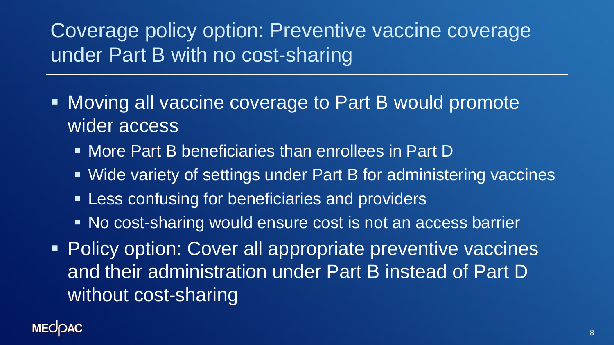#### Coverage policy option: Preventive vaccine coverage under Part B with no cost-sharing

- Moving all vaccine coverage to Part B would promote wider access
	- More Part B beneficiaries than enrollees in Part D
	- Wide variety of settings under Part B for administering vaccines
	- **EXELESS** confusing for beneficiaries and providers
	- No cost-sharing would ensure cost is not an access barrier
- **Policy option: Cover all appropriate preventive vaccines** and their administration under Part B instead of Part D without cost-sharing

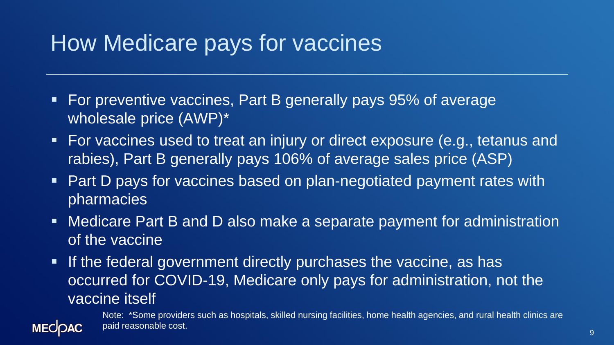### How Medicare pays for vaccines

- For preventive vaccines, Part B generally pays 95% of average wholesale price (AWP)\*
- For vaccines used to treat an injury or direct exposure (e.g., tetanus and rabies), Part B generally pays 106% of average sales price (ASP)
- Part D pays for vaccines based on plan-negotiated payment rates with pharmacies
- Medicare Part B and D also make a separate payment for administration of the vaccine
- **.** If the federal government directly purchases the vaccine, as has occurred for COVID-19, Medicare only pays for administration, not the vaccine itself

Note: \*Some providers such as hospitals, skilled nursing facilities, home health agencies, and rural health clinics are paid reasonable cost.

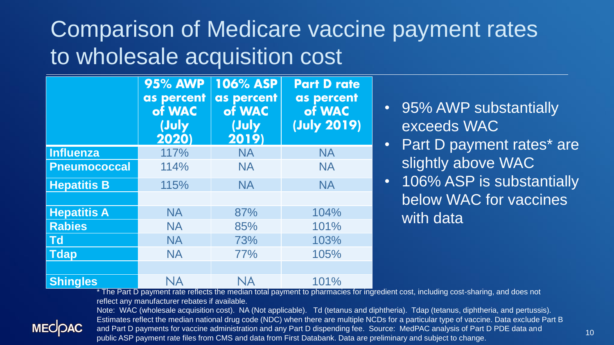### Comparison of Medicare vaccine payment rates to wholesale acquisition cost

|                     | <b>95% AWP</b><br>as percent<br>of WAC<br>(July<br>2020) | <b>106% ASP</b><br>as percent<br>of WAC<br>(July<br>2019) | <b>Part D rate</b><br>as percent<br>of WAC<br>(July 2019) |
|---------------------|----------------------------------------------------------|-----------------------------------------------------------|-----------------------------------------------------------|
| Influenza           | 117%                                                     | <b>NA</b>                                                 | <b>NA</b>                                                 |
| <b>Pneumococcal</b> | 114%                                                     | <b>NA</b>                                                 | <b>NA</b>                                                 |
| <b>Hepatitis B</b>  | 115%                                                     | <b>NA</b>                                                 | <b>NA</b>                                                 |
|                     |                                                          |                                                           |                                                           |
| <b>Hepatitis A</b>  | <b>NA</b>                                                | 87%                                                       | 104%                                                      |
| <b>Rabies</b>       | <b>NA</b>                                                | 85%                                                       | 101%                                                      |
| <b>Td</b>           | <b>NA</b>                                                | 73%                                                       | 103%                                                      |
| <b>Tdap</b>         | <b>NA</b>                                                | 77%                                                       | 105%                                                      |
|                     |                                                          |                                                           |                                                           |
| <b>Shingles</b>     | NA                                                       | <b>NA</b>                                                 | 101%                                                      |

- 95% AWP substantially exceeds WAC
- Part D payment rates\* are slightly above WAC
- 106% ASP is substantially below WAC for vaccines with data

The Part D payment rate reflects the median total payment to pharmacies for ingredient cost, including cost-sharing, and does not reflect any manufacturer rebates if available.



Note: WAC (wholesale acquisition cost). NA (Not applicable). Td (tetanus and diphtheria). Tdap (tetanus, diphtheria, and pertussis). Estimates reflect the median national drug code (NDC) when there are multiple NCDs for a particular type of vaccine. Data exclude Part B and Part D payments for vaccine administration and any Part D dispending fee. Source: MedPAC analysis of Part D PDE data and public ASP payment rate files from CMS and data from First Databank. Data are preliminary and subject to change.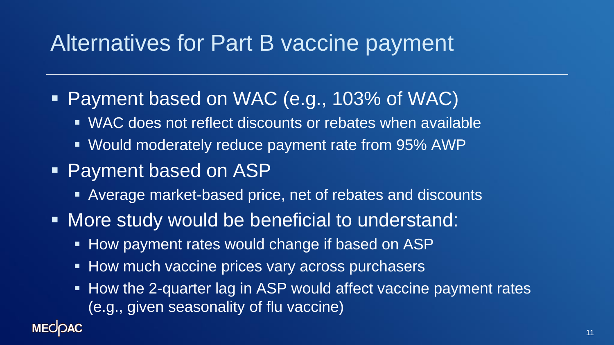#### Alternatives for Part B vaccine payment

- **Payment based on WAC (e.g., 103% of WAC)** 
	- WAC does not reflect discounts or rebates when available
	- Would moderately reduce payment rate from 95% AWP
- **Payment based on ASP** 
	- Average market-based price, net of rebates and discounts
- More study would be beneficial to understand:
	- How payment rates would change if based on ASP
	- How much vaccine prices vary across purchasers
	- How the 2-quarter lag in ASP would affect vaccine payment rates (e.g., given seasonality of flu vaccine)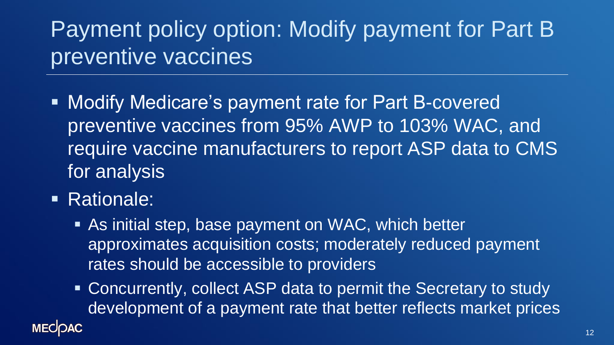# Payment policy option: Modify payment for Part B preventive vaccines

- **EXPERITHERE:** Modify Medicare's payment rate for Part B-covered preventive vaccines from 95% AWP to 103% WAC, and require vaccine manufacturers to report ASP data to CMS for analysis
- Rationale:
	- As initial step, base payment on WAC, which better approximates acquisition costs; moderately reduced payment rates should be accessible to providers
	- Concurrently, collect ASP data to permit the Secretary to study development of a payment rate that better reflects market prices